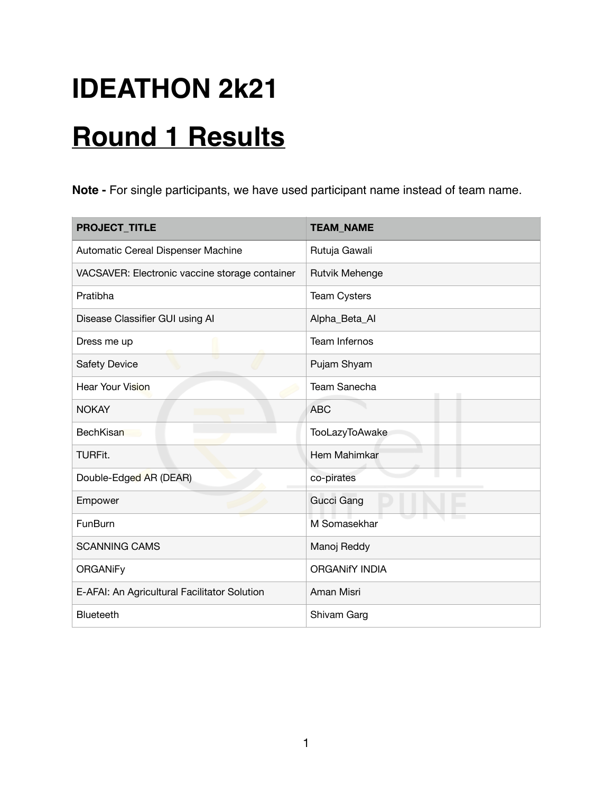## **IDEATHON 2k21**

## **Round 1 Results**

**Note -** For single participants, we have used participant name instead of team name.

| <b>PROJECT_TITLE</b>                           | <b>TEAM_NAME</b>      |
|------------------------------------------------|-----------------------|
| Automatic Cereal Dispenser Machine             | Rutuja Gawali         |
| VACSAVER: Electronic vaccine storage container | Rutvik Mehenge        |
| Pratibha                                       | <b>Team Cysters</b>   |
| Disease Classifier GUI using AI                | Alpha_Beta_Al         |
| Dress me up                                    | <b>Team Infernos</b>  |
| <b>Safety Device</b>                           | Pujam Shyam           |
| <b>Hear Your Vision</b>                        | Team Sanecha          |
| <b>NOKAY</b>                                   | <b>ABC</b>            |
| <b>BechKisan</b>                               | TooLazyToAwake        |
| <b>TURFit.</b>                                 | Hem Mahimkar          |
| Double-Edged AR (DEAR)                         | co-pirates            |
| Empower                                        | Gucci Gang            |
| FunBurn                                        | M Somasekhar          |
| <b>SCANNING CAMS</b>                           | Manoj Reddy           |
| <b>ORGANiFy</b>                                | <b>ORGANIfY INDIA</b> |
| E-AFAI: An Agricultural Facilitator Solution   | Aman Misri            |
| Blueteeth                                      | Shivam Garg           |